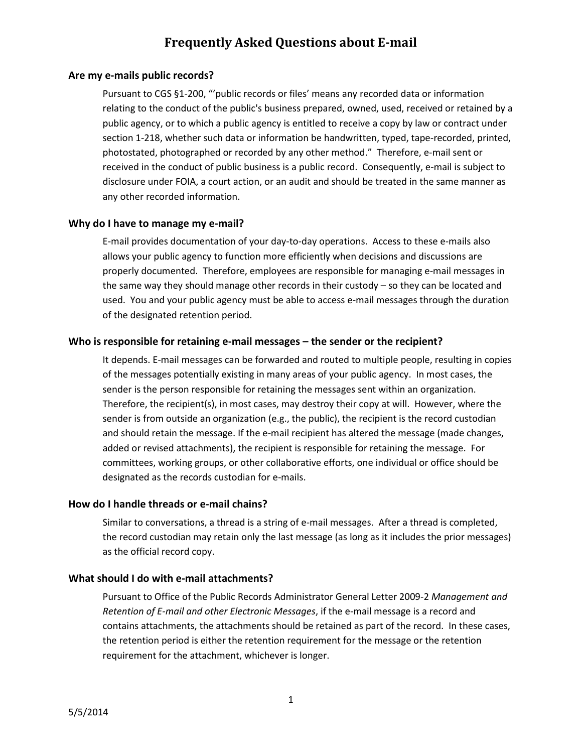# **Frequently Asked Questions about E-mail**

## **Are my e-mails public records?**

Pursuant to CGS §1‐200, "'public records or files' means any recorded data or information relating to the conduct of the public's business prepared, owned, used, received or retained by a public agency, or to which a public agency is entitled to receive a copy by law or contract under section 1-218, whether such data or information be handwritten, typed, tape-recorded, printed, photostated, photographed or recorded by any other method." Therefore, e-mail sent or received in the conduct of public business is a public record. Consequently, e-mail is subject to disclosure under FOIA, a court action, or an audit and should be treated in the same manner as any other recorded information.

#### **Why do I have to manage my e-mail?**

E-mail provides documentation of your day-to-day operations. Access to these e-mails also allows your public agency to function more efficiently when decisions and discussions are properly documented. Therefore, employees are responsible for managing e-mail messages in the same way they should manage other records in their custody – so they can be located and used. You and your public agency must be able to access e-mail messages through the duration of the designated retention period.

#### **Who is responsible for retaining e-mail messages – the sender or the recipient?**

It depends. E-mail messages can be forwarded and routed to multiple people, resulting in copies of the messages potentially existing in many areas of your public agency. In most cases, the sender is the person responsible for retaining the messages sent within an organization. Therefore, the recipient(s), in most cases, may destroy their copy at will. However, where the sender is from outside an organization (e.g., the public), the recipient is the record custodian and should retain the message. If the e-mail recipient has altered the message (made changes, added or revised attachments), the recipient is responsible for retaining the message. For committees, working groups, or other collaborative efforts, one individual or office should be designated as the records custodian for e-mails.

#### **How do I handle threads or e-mail chains?**

Similar to conversations, a thread is a string of e-mail messages. After a thread is completed, the record custodian may retain only the last message (as long as it includes the prior messages) as the official record copy.

#### **What should I do with e-mail attachments?**

Pursuant to Office of the Public Records Administrator General Letter 2009-2 *Management and Retention of E-mail and other Electronic Messages*, if the e-mail message is a record and contains attachments, the attachments should be retained as part of the record. In these cases, the retention period is either the retention requirement for the message or the retention requirement for the attachment, whichever is longer.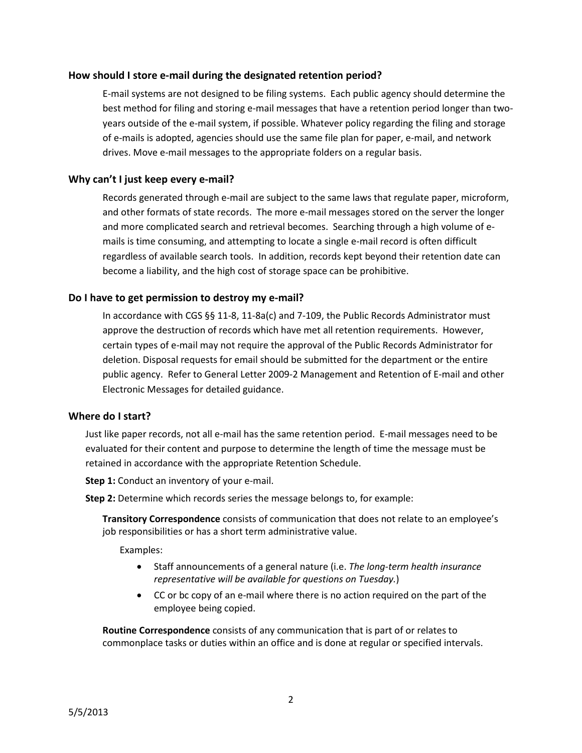## **How should I store e-mail during the designated retention period?**

E-mail systems are not designed to be filing systems. Each public agency should determine the best method for filing and storing e-mail messages that have a retention period longer than twoyears outside of the e-mail system, if possible. Whatever policy regarding the filing and storage of e-mails is adopted, agencies should use the same file plan for paper, e-mail, and network drives. Move e-mail messages to the appropriate folders on a regular basis.

## **Why can't I just keep every e-mail?**

Records generated through e-mail are subject to the same laws that regulate paper, microform, and other formats of state records. The more e-mail messages stored on the server the longer and more complicated search and retrieval becomes. Searching through a high volume of emails is time consuming, and attempting to locate a single e-mail record is often difficult regardless of available search tools. In addition, records kept beyond their retention date can become a liability, and the high cost of storage space can be prohibitive.

## **Do I have to get permission to destroy my e-mail?**

In accordance with CGS §§ 11-8, 11-8a(c) and 7-109, the Public Records Administrator must approve the destruction of records which have met all retention requirements. However, certain types of e-mail may not require the approval of the Public Records Administrator for deletion. Disposal requests for email should be submitted for the department or the entire public agency. Refer to General Letter 2009-2 Management and Retention of E-mail and other Electronic Messages for detailed guidance.

## **Where do I start?**

Just like paper records, not all e-mail has the same retention period. E-mail messages need to be evaluated for their content and purpose to determine the length of time the message must be retained in accordance with the appropriate Retention Schedule.

**Step 1:** Conduct an inventory of your e-mail.

**Step 2:** Determine which records series the message belongs to, for example:

**Transitory Correspondence** consists of communication that does not relate to an employee's job responsibilities or has a short term administrative value.

Examples:

- Staff announcements of a general nature (i.e. *The long-term health insurance representative will be available for questions on Tuesday.*)
- CC or bc copy of an e-mail where there is no action required on the part of the employee being copied.

**Routine Correspondence** consists of any communication that is part of or relates to commonplace tasks or duties within an office and is done at regular or specified intervals.